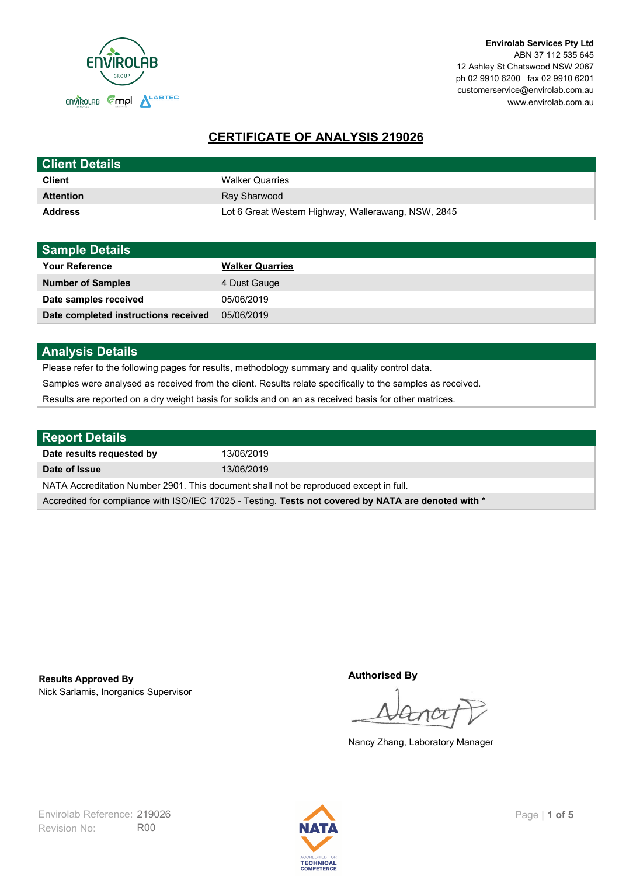

# **CERTIFICATE OF ANALYSIS 219026**

| <b>Client Details</b> |                                                     |
|-----------------------|-----------------------------------------------------|
| <b>Client</b>         | <b>Walker Quarries</b>                              |
| <b>Attention</b>      | Ray Sharwood                                        |
| <b>Address</b>        | Lot 6 Great Western Highway, Wallerawang, NSW, 2845 |

| <b>Sample Details</b>                |                        |
|--------------------------------------|------------------------|
| <b>Your Reference</b>                | <b>Walker Quarries</b> |
| <b>Number of Samples</b>             | 4 Dust Gauge           |
| Date samples received                | 05/06/2019             |
| Date completed instructions received | 05/06/2019             |

## **Analysis Details**

Please refer to the following pages for results, methodology summary and quality control data.

Samples were analysed as received from the client. Results relate specifically to the samples as received.

Results are reported on a dry weight basis for solids and on an as received basis for other matrices.

| Report Details                                                                                       |            |  |
|------------------------------------------------------------------------------------------------------|------------|--|
| Date results requested by                                                                            | 13/06/2019 |  |
| Date of Issue                                                                                        | 13/06/2019 |  |
| NATA Accreditation Number 2901. This document shall not be reproduced except in full.                |            |  |
| Accredited for compliance with ISO/IEC 17025 - Testing. Tests not covered by NATA are denoted with * |            |  |

Nick Sarlamis, Inorganics Supervisor **Results Approved By**

**Authorised By**

Nancy Zhang, Laboratory Manager

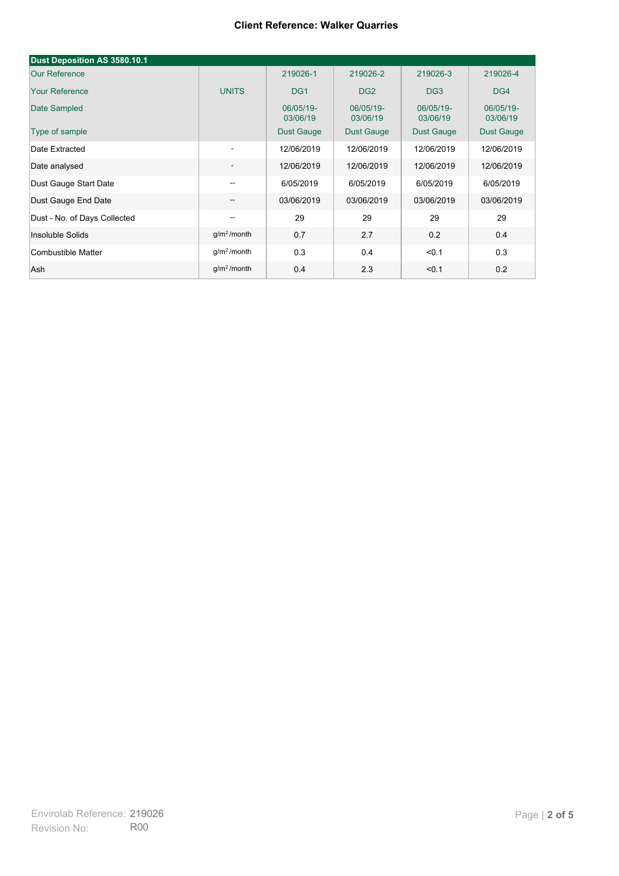#### **Client Reference: Walker Quarries**

| Dust Deposition AS 3580.10.1 |                          |                       |                       |                       |                       |
|------------------------------|--------------------------|-----------------------|-----------------------|-----------------------|-----------------------|
| <b>Our Reference</b>         |                          | 219026-1              | 219026-2              | 219026-3              | 219026-4              |
| <b>Your Reference</b>        | <b>UNITS</b>             | DG <sub>1</sub>       | DG <sub>2</sub>       | DG <sub>3</sub>       | DG4                   |
| Date Sampled                 |                          | 06/05/19-<br>03/06/19 | 06/05/19-<br>03/06/19 | 06/05/19-<br>03/06/19 | 06/05/19-<br>03/06/19 |
| Type of sample               |                          | <b>Dust Gauge</b>     | <b>Dust Gauge</b>     | <b>Dust Gauge</b>     | Dust Gauge            |
| Date Extracted               | $\overline{\phantom{a}}$ | 12/06/2019            | 12/06/2019            | 12/06/2019            | 12/06/2019            |
| Date analysed                | $\overline{\phantom{a}}$ | 12/06/2019            | 12/06/2019            | 12/06/2019            | 12/06/2019            |
| Dust Gauge Start Date        | --                       | 6/05/2019             | 6/05/2019             | 6/05/2019             | 6/05/2019             |
| Dust Gauge End Date          | $\overline{\phantom{a}}$ | 03/06/2019            | 03/06/2019            | 03/06/2019            | 03/06/2019            |
| Dust - No. of Days Collected | $\overline{\phantom{m}}$ | 29                    | 29                    | 29                    | 29                    |
| Insoluble Solids             | g/m <sup>2</sup> /month  | 0.7                   | 2.7                   | 0.2                   | 0.4                   |
| Combustible Matter           | g/m <sup>2</sup> /month  | 0.3                   | 0.4                   | < 0.1                 | 0.3                   |
| Ash                          | g/m <sup>2</sup> /month  | 0.4                   | 2.3                   | < 0.1                 | 0.2                   |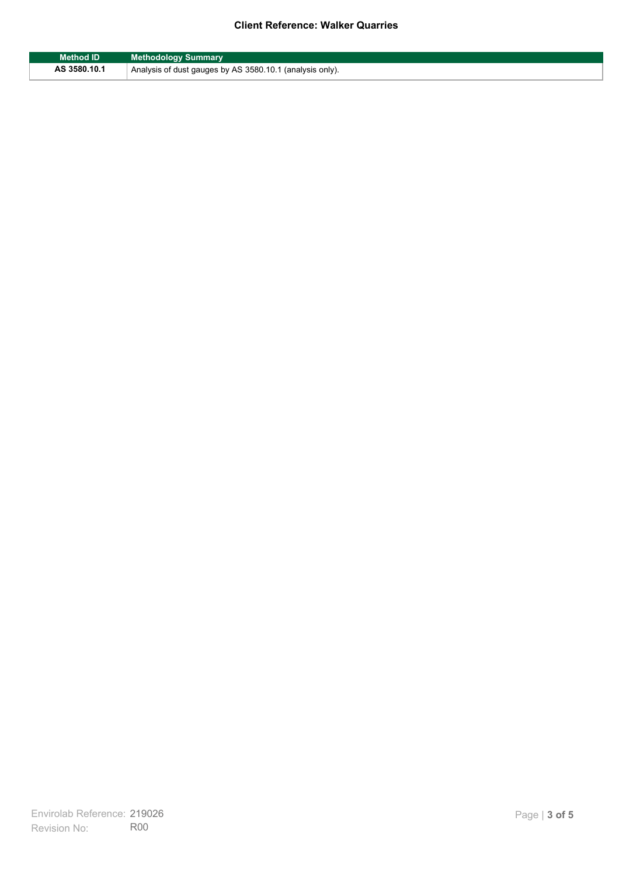### **Client Reference: Walker Quarries**

| <b>Method ID</b> | <b>Methodology Summary</b>                               |
|------------------|----------------------------------------------------------|
| AS 3580.10.1     | Analysis of dust gauges by AS 3580.10.1 (analysis only). |

F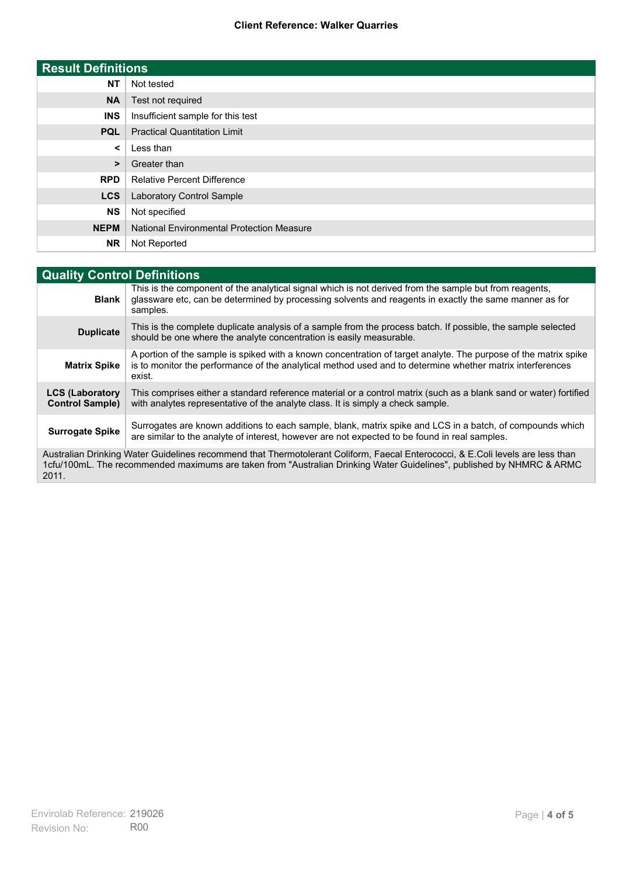#### **Client Reference: Walker Quarries**

| <b>Result Definitions</b> |                                                  |
|---------------------------|--------------------------------------------------|
| <b>NT</b>                 | Not tested                                       |
| <b>NA</b>                 | Test not required                                |
| <b>INS</b>                | Insufficient sample for this test                |
| <b>PQL</b>                | <b>Practical Quantitation Limit</b>              |
| ≺                         | Less than                                        |
| >                         | Greater than                                     |
| <b>RPD</b>                | <b>Relative Percent Difference</b>               |
| <b>LCS</b>                | Laboratory Control Sample                        |
| <b>NS</b>                 | Not specified                                    |
| <b>NEPM</b>               | <b>National Environmental Protection Measure</b> |
| <b>NR</b>                 | Not Reported                                     |

| <b>Quality Control Definitions</b>                                                                                                                                                                                                                      |                                                                                                                                                                                                                                        |  |
|---------------------------------------------------------------------------------------------------------------------------------------------------------------------------------------------------------------------------------------------------------|----------------------------------------------------------------------------------------------------------------------------------------------------------------------------------------------------------------------------------------|--|
| <b>Blank</b>                                                                                                                                                                                                                                            | This is the component of the analytical signal which is not derived from the sample but from reagents,<br>glassware etc, can be determined by processing solvents and reagents in exactly the same manner as for<br>samples.           |  |
| <b>Duplicate</b>                                                                                                                                                                                                                                        | This is the complete duplicate analysis of a sample from the process batch. If possible, the sample selected<br>should be one where the analyte concentration is easily measurable.                                                    |  |
| <b>Matrix Spike</b>                                                                                                                                                                                                                                     | A portion of the sample is spiked with a known concentration of target analyte. The purpose of the matrix spike<br>is to monitor the performance of the analytical method used and to determine whether matrix interferences<br>exist. |  |
| <b>LCS (Laboratory</b><br><b>Control Sample)</b>                                                                                                                                                                                                        | This comprises either a standard reference material or a control matrix (such as a blank sand or water) fortified<br>with analytes representative of the analyte class. It is simply a check sample.                                   |  |
| <b>Surrogate Spike</b>                                                                                                                                                                                                                                  | Surrogates are known additions to each sample, blank, matrix spike and LCS in a batch, of compounds which<br>are similar to the analyte of interest, however are not expected to be found in real samples.                             |  |
| Australian Drinking Water Guidelines recommend that Thermotolerant Coliform, Faecal Enterococci, & E.Coli levels are less than<br>1cfu/100mL. The recommended maximums are taken from "Australian Drinking Water Guidelines", published by NHMRC & ARMC |                                                                                                                                                                                                                                        |  |

2011.